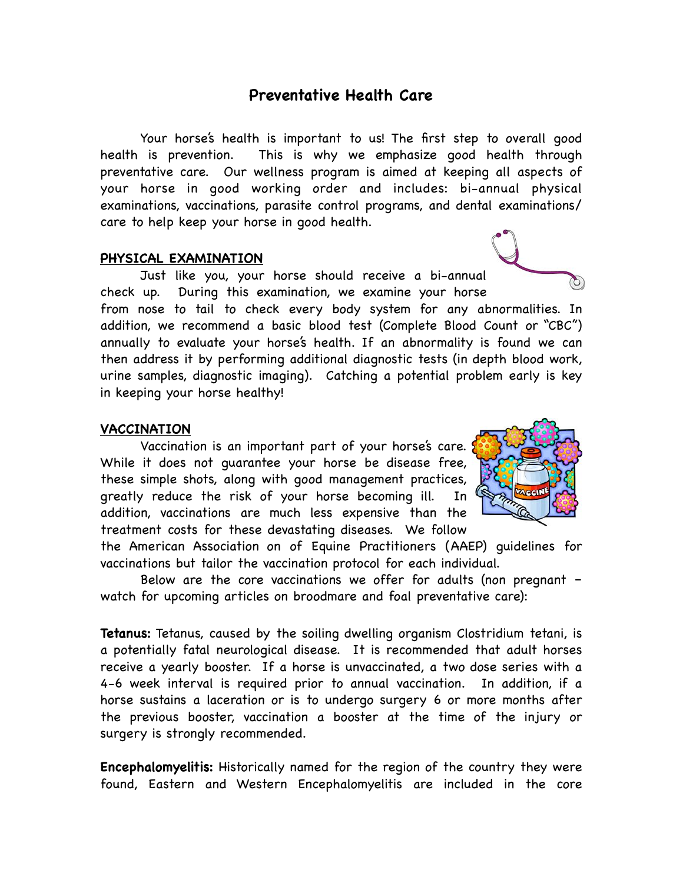# **Preventative Health Care**

Your horse's health is important to us! The first step to overall good health is prevention. This is why we emphasize good health through preventative care. Our wellness program is aimed at keeping all aspects of your horse in good working order and includes: bi-annual physical examinations, vaccinations, parasite control programs, and dental examinations/ care to help keep your horse in good health.

## **PHYSICAL EXAMINATION**

Just like you, your horse should receive a bi-annual check up. During this examination, we examine your horse from nose to tail to check every body system for any abnormalities. In

addition, we recommend a basic blood test (Complete Blood Count or "CBC") annually to evaluate your horse's health. If an abnormality is found we can then address it by performing additional diagnostic tests (in depth blood work, urine samples, diagnostic imaging). Catching a potential problem early is key in keeping your horse healthy!

#### **VACCINATION**

Vaccination is an important part of your horse's care. While it does not guarantee your horse be disease free, these simple shots, along with good management practices, greatly reduce the risk of your horse becoming ill. In addition, vaccinations are much less expensive than the treatment costs for these devastating diseases. We follow

the American Association on of Equine Practitioners (AAEP) guidelines for vaccinations but tailor the vaccination protocol for each individual.

Below are the core vaccinations we offer for adults (non pregnant – watch for upcoming articles on broodmare and foal preventative care):

**Tetanus:** Tetanus, caused by the soiling dwelling organism Clostridium tetani, is a potentially fatal neurological disease. It is recommended that adult horses receive a yearly booster. If a horse is unvaccinated, a two dose series with a 4-6 week interval is required prior to annual vaccination. In addition, if a horse sustains a laceration or is to undergo surgery 6 or more months after the previous booster, vaccination a booster at the time of the injury or surgery is strongly recommended.

**Encephalomyelitis:** Historically named for the region of the country they were found, Eastern and Western Encephalomyelitis are included in the core

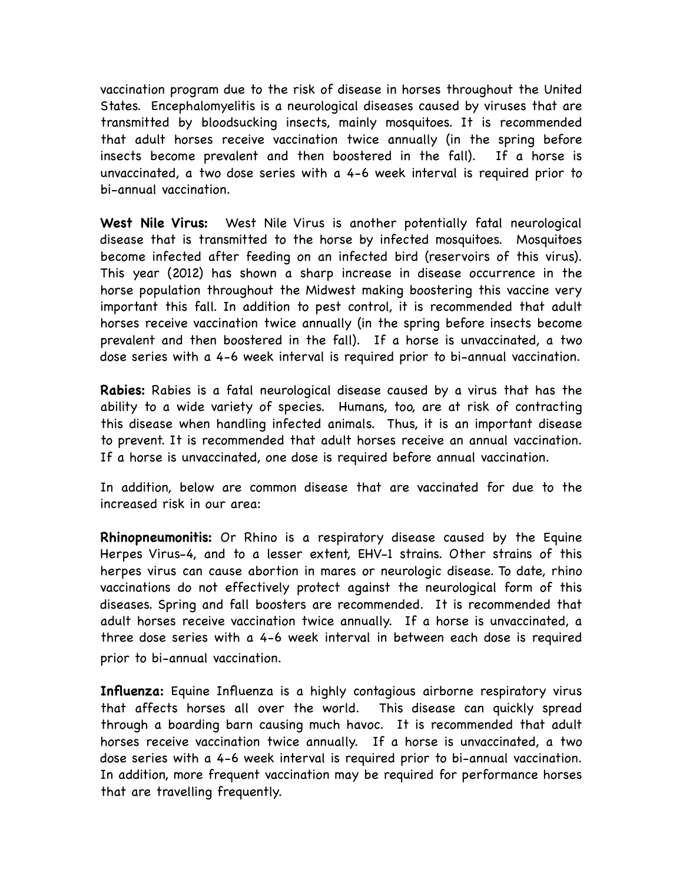vaccination program due to the risk of disease in horses throughout the United States. Encephalomyelitis is a neurological diseases caused by viruses that are transmitted by bloodsucking insects, mainly mosquitoes. It is recommended that adult horses receive vaccination twice annually (in the spring before insects become prevalent and then boostered in the fall). If a horse is unvaccinated, a two dose series with a 4-6 week interval is required prior to bi-annual vaccination.

**West Nile Virus:** West Nile Virus is another potentially fatal neurological disease that is transmitted to the horse by infected mosquitoes. Mosquitoes become infected after feeding on an infected bird (reservoirs of this virus). This year (2012) has shown a sharp increase in disease occurrence in the horse population throughout the Midwest making boostering this vaccine very important this fall. In addition to pest control, it is recommended that adult horses receive vaccination twice annually (in the spring before insects become prevalent and then boostered in the fall). If a horse is unvaccinated, a two dose series with a 4-6 week interval is required prior to bi-annual vaccination.

**Rabies:** Rabies is a fatal neurological disease caused by a virus that has the ability to a wide variety of species. Humans, too, are at risk of contracting this disease when handling infected animals. Thus, it is an important disease to prevent. It is recommended that adult horses receive an annual vaccination. If a horse is unvaccinated, one dose is required before annual vaccination.

In addition, below are common disease that are vaccinated for due to the increased risk in our area:

**Rhinopneumonitis:** Or Rhino is a respiratory disease caused by the Equine Herpes Virus-4, and to a lesser extent, EHV-1 strains. Other strains of this herpes virus can cause abortion in mares or neurologic disease. To date, rhino vaccinations do not effectively protect against the neurological form of this diseases. Spring and fall boosters are recommended. It is recommended that adult horses receive vaccination twice annually. If a horse is unvaccinated, a three dose series with a 4-6 week interval in between each dose is required prior to bi-annual vaccination.

**Influenza:** Equine Influenza is a highly contagious airborne respiratory virus that affects horses all over the world. This disease can quickly spread through a boarding barn causing much havoc. It is recommended that adult horses receive vaccination twice annually. If a horse is unvaccinated, a two dose series with a 4-6 week interval is required prior to bi-annual vaccination. In addition, more frequent vaccination may be required for performance horses that are travelling frequently.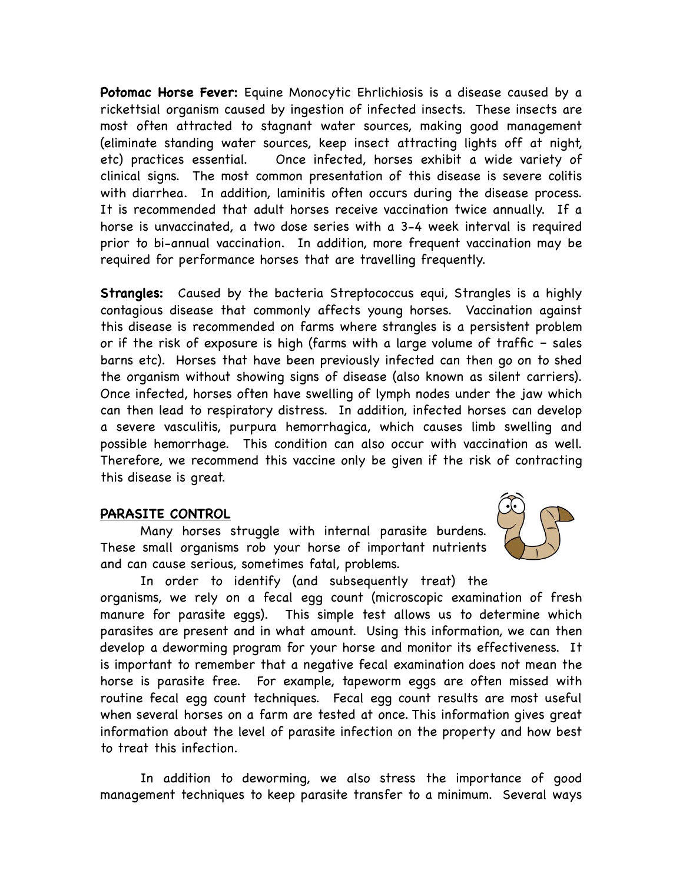**Potomac Horse Fever:** Equine Monocytic Ehrlichiosis is a disease caused by a rickettsial organism caused by ingestion of infected insects. These insects are most often attracted to stagnant water sources, making good management (eliminate standing water sources, keep insect attracting lights off at night, etc) practices essential. Once infected, horses exhibit a wide variety of clinical signs. The most common presentation of this disease is severe colitis with diarrhea. In addition, laminitis often occurs during the disease process. It is recommended that adult horses receive vaccination twice annually. If a horse is unvaccinated, a two dose series with a 3-4 week interval is required prior to bi-annual vaccination. In addition, more frequent vaccination may be required for performance horses that are travelling frequently.

**Strangles:** Caused by the bacteria Streptococcus equi, Strangles is a highly contagious disease that commonly affects young horses. Vaccination against this disease is recommended on farms where strangles is a persistent problem or if the risk of exposure is high (farms with a large volume of traffic – sales barns etc). Horses that have been previously infected can then go on to shed the organism without showing signs of disease (also known as silent carriers). Once infected, horses often have swelling of lymph nodes under the jaw which can then lead to respiratory distress. In addition, infected horses can develop a severe vasculitis, purpura hemorrhagica, which causes limb swelling and possible hemorrhage. This condition can also occur with vaccination as well. Therefore, we recommend this vaccine only be given if the risk of contracting this disease is great.

## **PARASITE CONTROL**

Many horses struggle with internal parasite burdens. These small organisms rob your horse of important nutrients and can cause serious, sometimes fatal, problems.



In order to identify (and subsequently treat) the organisms, we rely on a fecal egg count (microscopic examination of fresh manure for parasite eggs). This simple test allows us to determine which parasites are present and in what amount. Using this information, we can then develop a deworming program for your horse and monitor its effectiveness. It is important to remember that a negative fecal examination does not mean the horse is parasite free. For example, tapeworm eggs are often missed with routine fecal egg count techniques. Fecal egg count results are most useful when several horses on a farm are tested at once. This information gives great information about the level of parasite infection on the property and how best to treat this infection.

In addition to deworming, we also stress the importance of good management techniques to keep parasite transfer to a minimum. Several ways